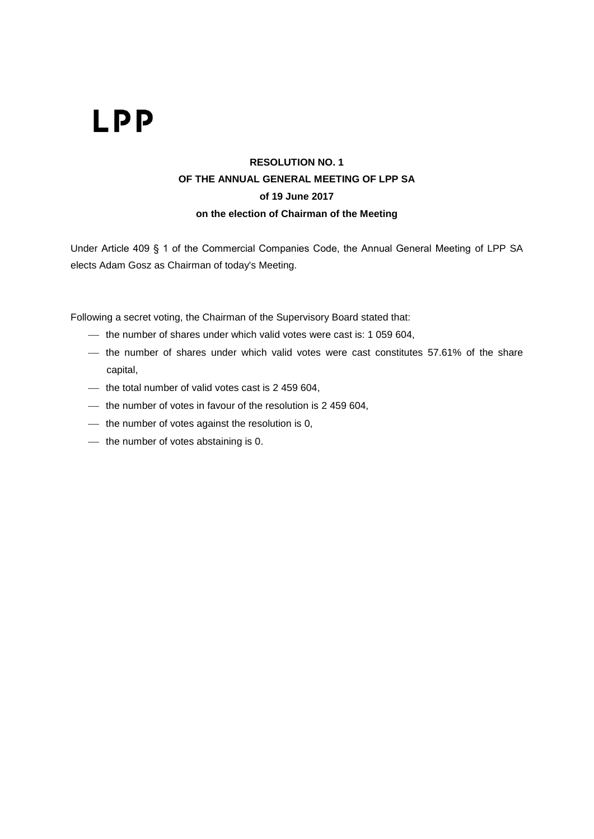#### **RESOLUTION NO. 1 OF THE ANNUAL GENERAL MEETING OF LPP SA of 19 June 2017 on the election of Chairman of the Meeting**

Under Article 409 § 1 of the Commercial Companies Code, the Annual General Meeting of LPP SA elects Adam Gosz as Chairman of today's Meeting.

Following a secret voting, the Chairman of the Supervisory Board stated that:

- the number of shares under which valid votes were cast is: 1 059 604,
- the number of shares under which valid votes were cast constitutes 57.61% of the share capital,
- $-$  the total number of valid votes cast is 2 459 604,
- $-$  the number of votes in favour of the resolution is 2 459 604,
- $-$  the number of votes against the resolution is 0,
- $-$  the number of votes abstaining is 0.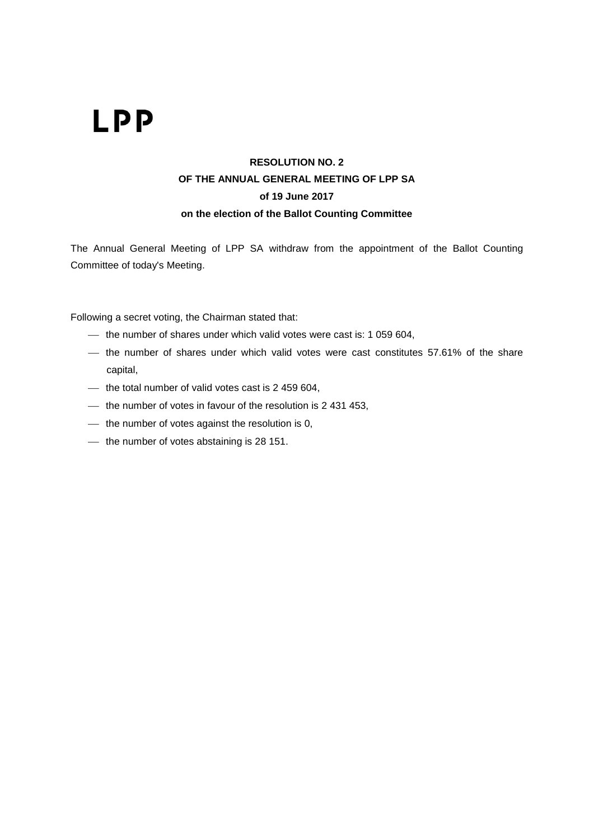#### **RESOLUTION NO. 2 OF THE ANNUAL GENERAL MEETING OF LPP SA of 19 June 2017 on the election of the Ballot Counting Committee**

The Annual General Meeting of LPP SA withdraw from the appointment of the Ballot Counting Committee of today's Meeting.

- the number of shares under which valid votes were cast is: 1 059 604,
- the number of shares under which valid votes were cast constitutes 57.61% of the share capital,
- $-$  the total number of valid votes cast is 2 459 604,
- $-$  the number of votes in favour of the resolution is 2 431 453,
- $-$  the number of votes against the resolution is 0,
- $-$  the number of votes abstaining is 28 151.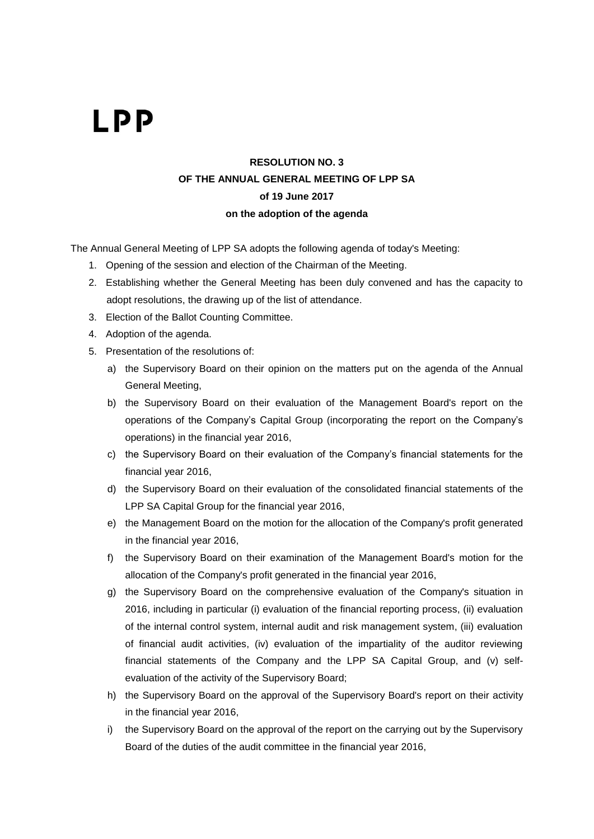#### **RESOLUTION NO. 3 OF THE ANNUAL GENERAL MEETING OF LPP SA of 19 June 2017 on the adoption of the agenda**

The Annual General Meeting of LPP SA adopts the following agenda of today's Meeting:

- 1. Opening of the session and election of the Chairman of the Meeting.
- 2. Establishing whether the General Meeting has been duly convened and has the capacity to adopt resolutions, the drawing up of the list of attendance.
- 3. Election of the Ballot Counting Committee.
- 4. Adoption of the agenda.
- 5. Presentation of the resolutions of:
	- a) the Supervisory Board on their opinion on the matters put on the agenda of the Annual General Meeting,
	- b) the Supervisory Board on their evaluation of the Management Board's report on the operations of the Company's Capital Group (incorporating the report on the Company's operations) in the financial year 2016,
	- c) the Supervisory Board on their evaluation of the Company's financial statements for the financial year 2016,
	- d) the Supervisory Board on their evaluation of the consolidated financial statements of the LPP SA Capital Group for the financial year 2016,
	- e) the Management Board on the motion for the allocation of the Company's profit generated in the financial year 2016,
	- f) the Supervisory Board on their examination of the Management Board's motion for the allocation of the Company's profit generated in the financial year 2016,
	- g) the Supervisory Board on the comprehensive evaluation of the Company's situation in 2016, including in particular (i) evaluation of the financial reporting process, (ii) evaluation of the internal control system, internal audit and risk management system, (iii) evaluation of financial audit activities, (iv) evaluation of the impartiality of the auditor reviewing financial statements of the Company and the LPP SA Capital Group, and (v) selfevaluation of the activity of the Supervisory Board;
	- h) the Supervisory Board on the approval of the Supervisory Board's report on their activity in the financial year 2016,
	- i) the Supervisory Board on the approval of the report on the carrying out by the Supervisory Board of the duties of the audit committee in the financial year 2016,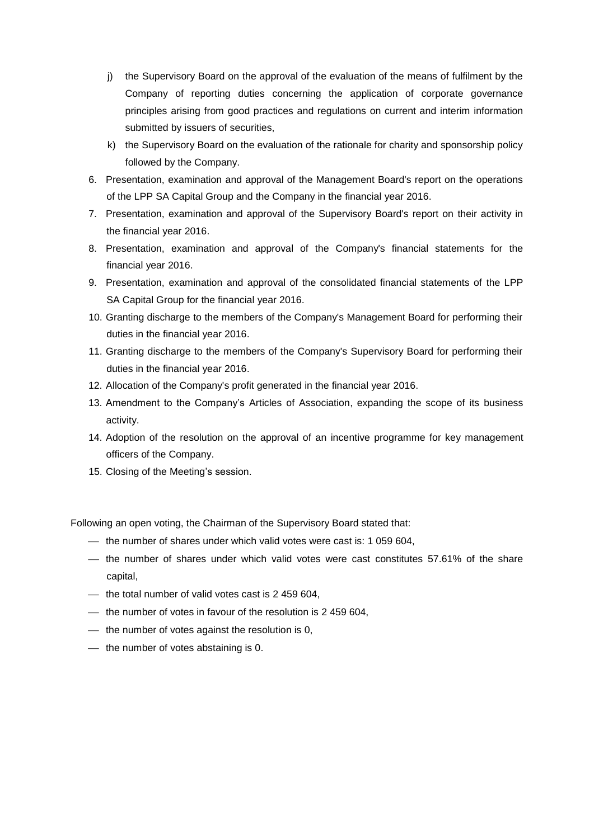- j) the Supervisory Board on the approval of the evaluation of the means of fulfilment by the Company of reporting duties concerning the application of corporate governance principles arising from good practices and regulations on current and interim information submitted by issuers of securities,
- k) the Supervisory Board on the evaluation of the rationale for charity and sponsorship policy followed by the Company.
- 6. Presentation, examination and approval of the Management Board's report on the operations of the LPP SA Capital Group and the Company in the financial year 2016.
- 7. Presentation, examination and approval of the Supervisory Board's report on their activity in the financial year 2016.
- 8. Presentation, examination and approval of the Company's financial statements for the financial year 2016.
- 9. Presentation, examination and approval of the consolidated financial statements of the LPP SA Capital Group for the financial year 2016.
- 10. Granting discharge to the members of the Company's Management Board for performing their duties in the financial year 2016.
- 11. Granting discharge to the members of the Company's Supervisory Board for performing their duties in the financial year 2016.
- 12. Allocation of the Company's profit generated in the financial year 2016.
- 13. Amendment to the Company's Articles of Association, expanding the scope of its business activity.
- 14. Adoption of the resolution on the approval of an incentive programme for key management officers of the Company.
- 15. Closing of the Meeting's session.

Following an open voting, the Chairman of the Supervisory Board stated that:

- the number of shares under which valid votes were cast is: 1 059 604,
- $-$  the number of shares under which valid votes were cast constitutes 57.61% of the share capital,
- $-$  the total number of valid votes cast is 2 459 604,
- $\mu$  the number of votes in favour of the resolution is 2 459 604,
- $-$  the number of votes against the resolution is 0,
- $-$  the number of votes abstaining is 0.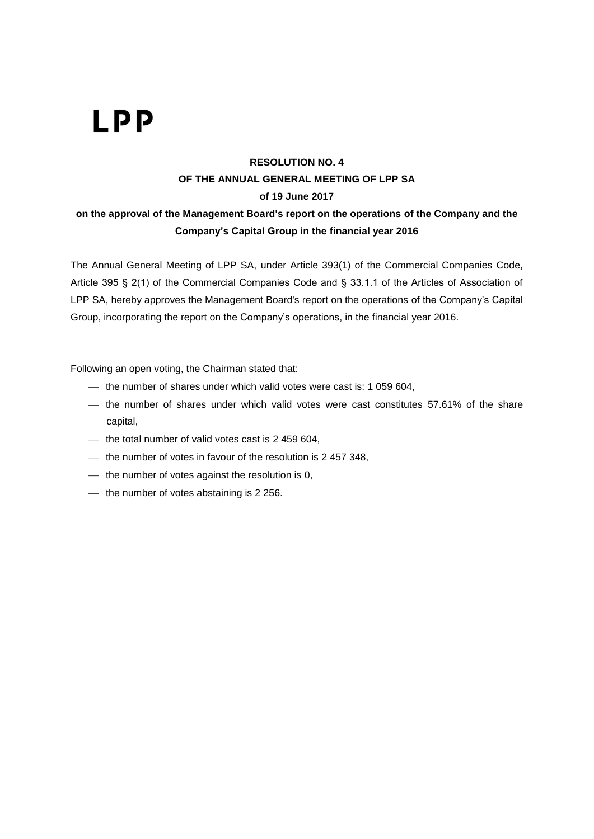### **RESOLUTION NO. 4 OF THE ANNUAL GENERAL MEETING OF LPP SA of 19 June 2017**

#### **on the approval of the Management Board's report on the operations of the Company and the Company's Capital Group in the financial year 2016**

The Annual General Meeting of LPP SA, under Article 393(1) of the Commercial Companies Code, Article 395 § 2(1) of the Commercial Companies Code and § 33.1.1 of the Articles of Association of LPP SA, hereby approves the Management Board's report on the operations of the Company's Capital Group, incorporating the report on the Company's operations, in the financial year 2016.

- the number of shares under which valid votes were cast is: 1 059 604,
- the number of shares under which valid votes were cast constitutes 57.61% of the share capital,
- $-$  the total number of valid votes cast is 2 459 604,
- $-$  the number of votes in favour of the resolution is 2 457 348,
- $\frac{1}{10}$  the number of votes against the resolution is 0,
- $-$  the number of votes abstaining is 2 256.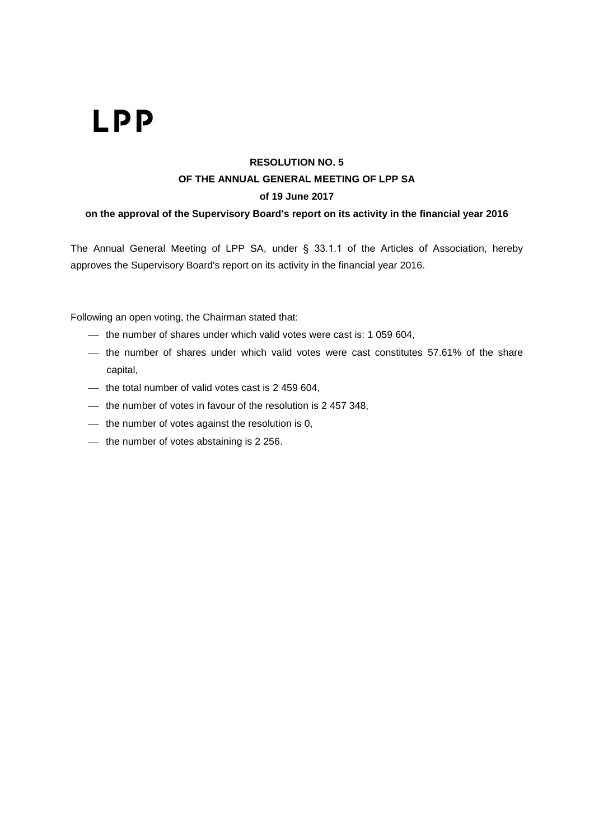### **RESOLUTION NO. 5 OF THE ANNUAL GENERAL MEETING OF LPP SA of 19 June 2017**

**on the approval of the Supervisory Board's report on its activity in the financial year 2016**

The Annual General Meeting of LPP SA, under § 33.1.1 of the Articles of Association, hereby approves the Supervisory Board's report on its activity in the financial year 2016.

- $-$  the number of shares under which valid votes were cast is: 1 059 604,
- $-$  the number of shares under which valid votes were cast constitutes 57.61% of the share capital,
- $-$  the total number of valid votes cast is 2 459 604,
- $-$  the number of votes in favour of the resolution is 2 457 348,
- $-$  the number of votes against the resolution is 0,
- $-$  the number of votes abstaining is 2 256.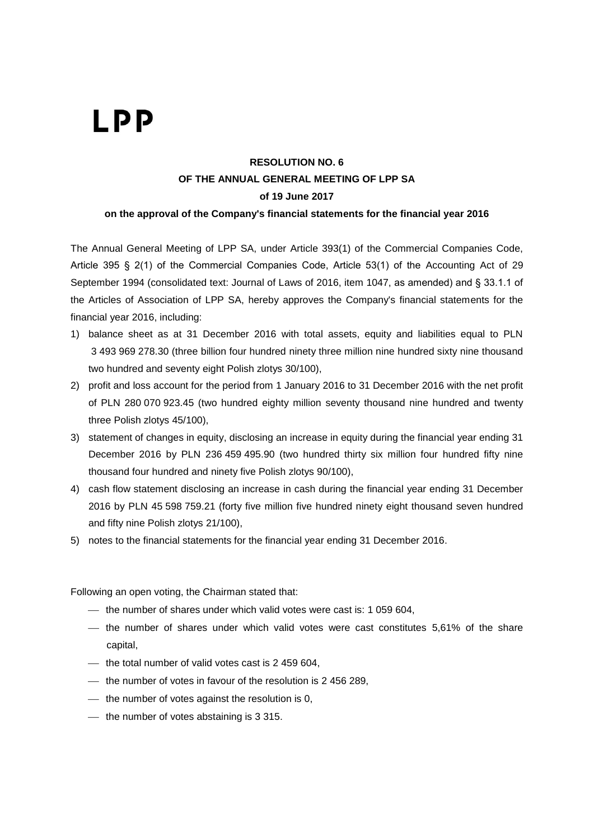### **RESOLUTION NO. 6 OF THE ANNUAL GENERAL MEETING OF LPP SA of 19 June 2017**

**on the approval of the Company's financial statements for the financial year 2016**

The Annual General Meeting of LPP SA, under Article 393(1) of the Commercial Companies Code, Article 395 § 2(1) of the Commercial Companies Code, Article 53(1) of the Accounting Act of 29 September 1994 (consolidated text: Journal of Laws of 2016, item 1047, as amended) and § 33.1.1 of the Articles of Association of LPP SA, hereby approves the Company's financial statements for the financial year 2016, including:

- 1) balance sheet as at 31 December 2016 with total assets, equity and liabilities equal to PLN 3 493 969 278.30 (three billion four hundred ninety three million nine hundred sixty nine thousand two hundred and seventy eight Polish zlotys 30/100),
- 2) profit and loss account for the period from 1 January 2016 to 31 December 2016 with the net profit of PLN 280 070 923.45 (two hundred eighty million seventy thousand nine hundred and twenty three Polish zlotys 45/100),
- 3) statement of changes in equity, disclosing an increase in equity during the financial year ending 31 December 2016 by PLN 236 459 495.90 (two hundred thirty six million four hundred fifty nine thousand four hundred and ninety five Polish zlotys 90/100),
- 4) cash flow statement disclosing an increase in cash during the financial year ending 31 December 2016 by PLN 45 598 759.21 (forty five million five hundred ninety eight thousand seven hundred and fifty nine Polish zlotys 21/100),
- 5) notes to the financial statements for the financial year ending 31 December 2016.

- $-$  the number of shares under which valid votes were cast is: 1 059 604,
- $-$  the number of shares under which valid votes were cast constitutes 5,61% of the share capital,
- $-$  the total number of valid votes cast is 2 459 604.
- $-$  the number of votes in favour of the resolution is 2 456 289,
- $-$  the number of votes against the resolution is 0,
- $-$  the number of votes abstaining is 3 315.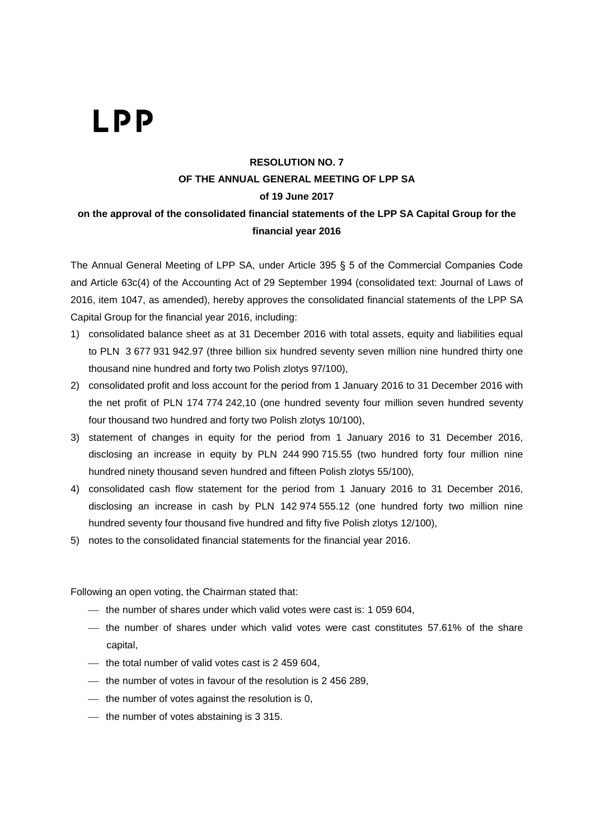### **RESOLUTION NO. 7 OF THE ANNUAL GENERAL MEETING OF LPP SA of 19 June 2017 on the approval of the consolidated financial statements of the LPP SA Capital Group for the financial year 2016**

The Annual General Meeting of LPP SA, under Article 395 § 5 of the Commercial Companies Code and Article 63c(4) of the Accounting Act of 29 September 1994 (consolidated text: Journal of Laws of 2016, item 1047, as amended), hereby approves the consolidated financial statements of the LPP SA Capital Group for the financial year 2016, including:

- 1) consolidated balance sheet as at 31 December 2016 with total assets, equity and liabilities equal to PLN 3 677 931 942.97 (three billion six hundred seventy seven million nine hundred thirty one thousand nine hundred and forty two Polish zlotys 97/100),
- 2) consolidated profit and loss account for the period from 1 January 2016 to 31 December 2016 with the net profit of PLN 174 774 242,10 (one hundred seventy four million seven hundred seventy four thousand two hundred and forty two Polish zlotys 10/100),
- 3) statement of changes in equity for the period from 1 January 2016 to 31 December 2016, disclosing an increase in equity by PLN 244 990 715.55 (two hundred forty four million nine hundred ninety thousand seven hundred and fifteen Polish zlotys 55/100),
- 4) consolidated cash flow statement for the period from 1 January 2016 to 31 December 2016, disclosing an increase in cash by PLN 142 974 555.12 (one hundred forty two million nine hundred seventy four thousand five hundred and fifty five Polish zlotys 12/100),
- 5) notes to the consolidated financial statements for the financial year 2016.

- $-$  the number of shares under which valid votes were cast is: 1 059 604,
- $-$  the number of shares under which valid votes were cast constitutes 57.61% of the share capital,
- $-$  the total number of valid votes cast is 2 459 604.
- the number of votes in favour of the resolution is 2 456 289,
- $-$  the number of votes against the resolution is 0,
- $-$  the number of votes abstaining is 3 315.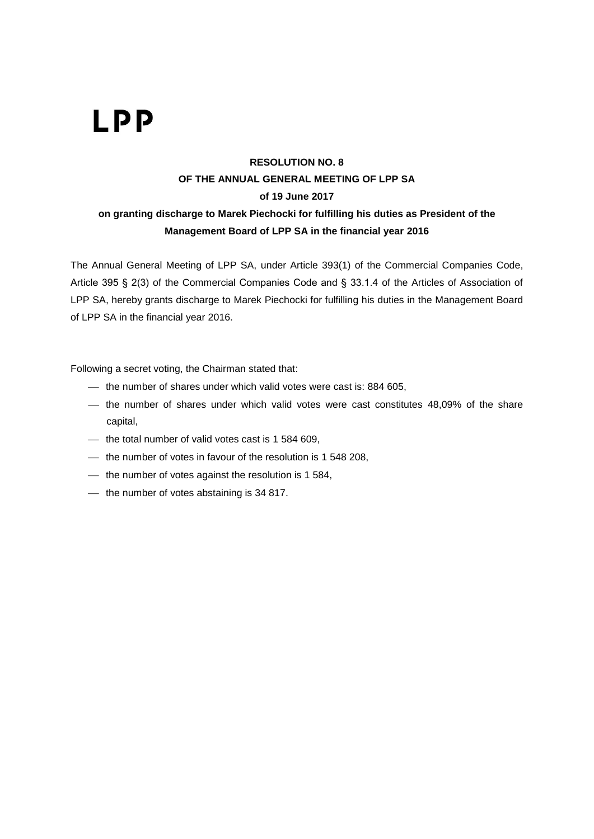### **RESOLUTION NO. 8 OF THE ANNUAL GENERAL MEETING OF LPP SA of 19 June 2017 on granting discharge to Marek Piechocki for fulfilling his duties as President of the Management Board of LPP SA in the financial year 2016**

The Annual General Meeting of LPP SA, under Article 393(1) of the Commercial Companies Code, Article 395 § 2(3) of the Commercial Companies Code and § 33.1.4 of the Articles of Association of LPP SA, hereby grants discharge to Marek Piechocki for fulfilling his duties in the Management Board of LPP SA in the financial year 2016.

- $-$  the number of shares under which valid votes were cast is: 884 605,
- $-$  the number of shares under which valid votes were cast constitutes  $48,09\%$  of the share capital,
- $-$  the total number of valid votes cast is 1 584 609,
- $-$  the number of votes in favour of the resolution is 1 548 208,
- $-$  the number of votes against the resolution is 1 584,
- $-$  the number of votes abstaining is 34 817.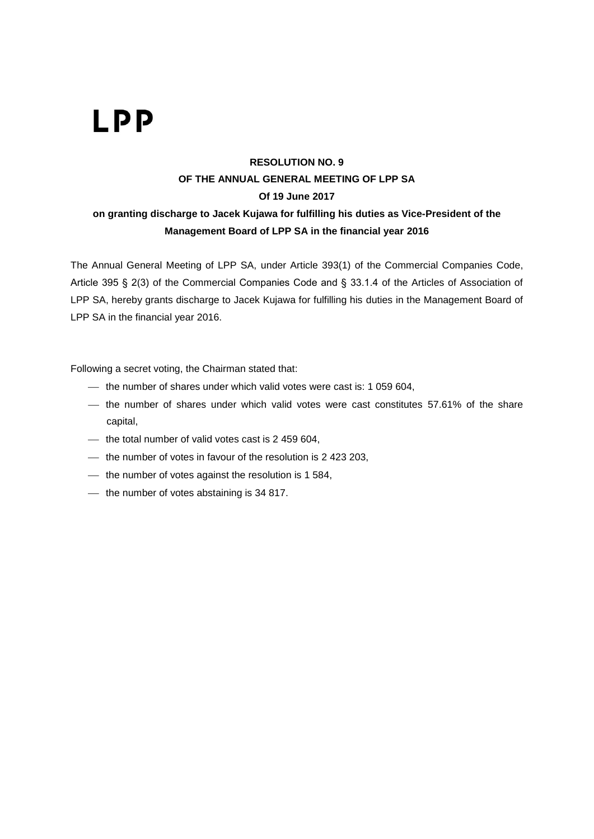### **RESOLUTION NO. 9 OF THE ANNUAL GENERAL MEETING OF LPP SA Of 19 June 2017 on granting discharge to Jacek Kujawa for fulfilling his duties as Vice-President of the Management Board of LPP SA in the financial year 2016**

The Annual General Meeting of LPP SA, under Article 393(1) of the Commercial Companies Code, Article 395 § 2(3) of the Commercial Companies Code and § 33.1.4 of the Articles of Association of LPP SA, hereby grants discharge to Jacek Kujawa for fulfilling his duties in the Management Board of LPP SA in the financial year 2016.

- the number of shares under which valid votes were cast is: 1 059 604,
- the number of shares under which valid votes were cast constitutes 57.61% of the share capital,
- $-$  the total number of valid votes cast is 2 459 604,
- $-$  the number of votes in favour of the resolution is 2 423 203,
- $-$  the number of votes against the resolution is 1 584,
- $-$  the number of votes abstaining is 34 817.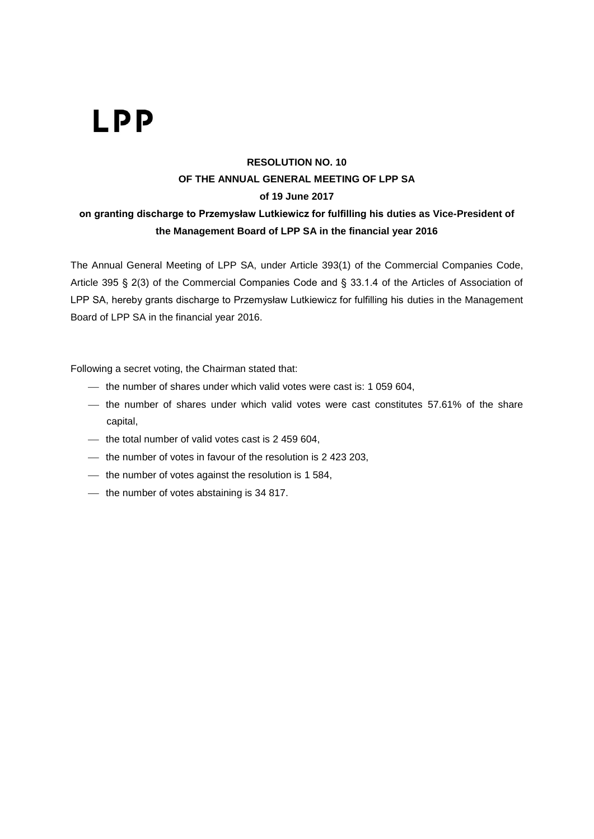### **RESOLUTION NO. 10 OF THE ANNUAL GENERAL MEETING OF LPP SA of 19 June 2017**

#### **on granting discharge to Przemysław Lutkiewicz for fulfilling his duties as Vice-President of the Management Board of LPP SA in the financial year 2016**

The Annual General Meeting of LPP SA, under Article 393(1) of the Commercial Companies Code, Article 395 § 2(3) of the Commercial Companies Code and § 33.1.4 of the Articles of Association of LPP SA, hereby grants discharge to Przemysław Lutkiewicz for fulfilling his duties in the Management Board of LPP SA in the financial year 2016.

- the number of shares under which valid votes were cast is: 1 059 604,
- the number of shares under which valid votes were cast constitutes 57.61% of the share capital,
- $-$  the total number of valid votes cast is 2 459 604,
- $-$  the number of votes in favour of the resolution is 2 423 203,
- $-$  the number of votes against the resolution is 1 584,
- $-$  the number of votes abstaining is 34 817.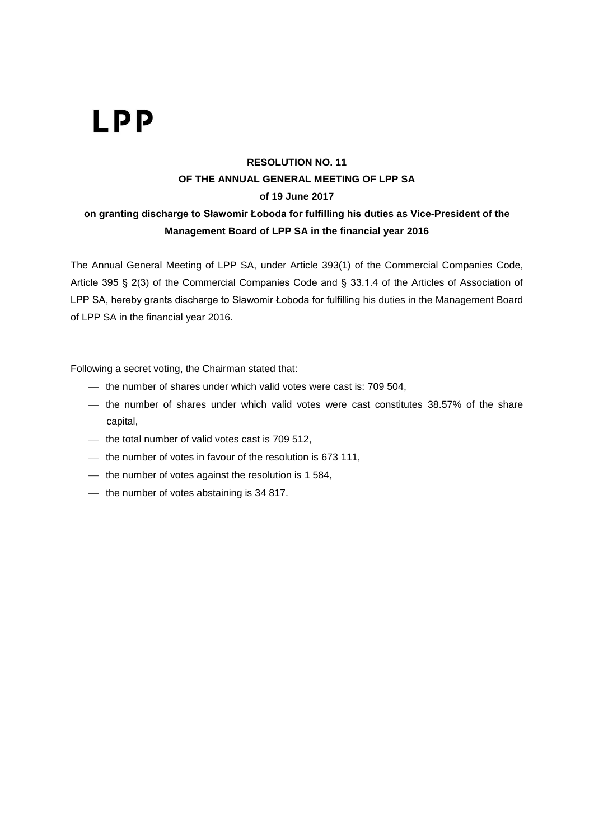### **RESOLUTION NO. 11 OF THE ANNUAL GENERAL MEETING OF LPP SA of 19 June 2017 on granting discharge to Sławomir Łoboda for fulfilling his duties as Vice-President of the Management Board of LPP SA in the financial year 2016**

The Annual General Meeting of LPP SA, under Article 393(1) of the Commercial Companies Code, Article 395 § 2(3) of the Commercial Companies Code and § 33.1.4 of the Articles of Association of LPP SA, hereby grants discharge to Sławomir Łoboda for fulfilling his duties in the Management Board of LPP SA in the financial year 2016.

- the number of shares under which valid votes were cast is: 709 504,
- the number of shares under which valid votes were cast constitutes 38.57% of the share capital,
- $-$  the total number of valid votes cast is 709 512,
- $-$  the number of votes in favour of the resolution is 673 111,
- $-$  the number of votes against the resolution is 1 584,
- $-$  the number of votes abstaining is 34 817.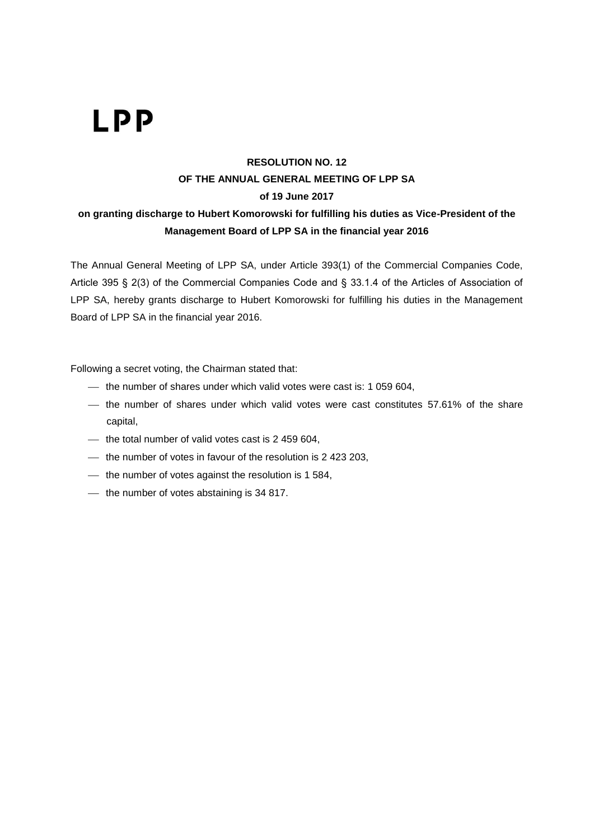#### **RESOLUTION NO. 12 OF THE ANNUAL GENERAL MEETING OF LPP SA of 19 June 2017 on granting discharge to Hubert Komorowski for fulfilling his duties as Vice-President of the**

#### **Management Board of LPP SA in the financial year 2016**

The Annual General Meeting of LPP SA, under Article 393(1) of the Commercial Companies Code, Article 395 § 2(3) of the Commercial Companies Code and § 33.1.4 of the Articles of Association of LPP SA, hereby grants discharge to Hubert Komorowski for fulfilling his duties in the Management Board of LPP SA in the financial year 2016.

- the number of shares under which valid votes were cast is: 1 059 604,
- the number of shares under which valid votes were cast constitutes 57.61% of the share capital,
- $-$  the total number of valid votes cast is 2 459 604,
- $-$  the number of votes in favour of the resolution is 2 423 203,
- $-$  the number of votes against the resolution is 1 584,
- $-$  the number of votes abstaining is 34 817.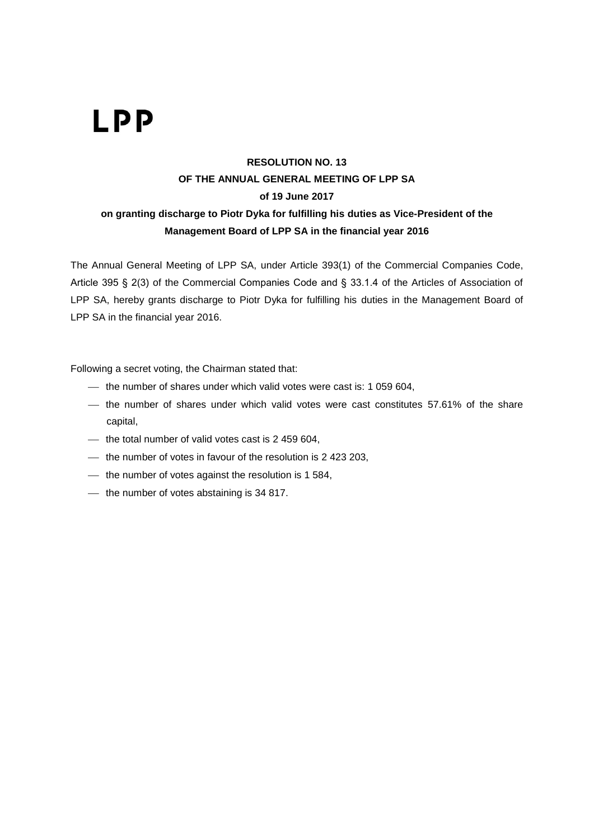### **RESOLUTION NO. 13 OF THE ANNUAL GENERAL MEETING OF LPP SA of 19 June 2017 on granting discharge to Piotr Dyka for fulfilling his duties as Vice-President of the Management Board of LPP SA in the financial year 2016**

The Annual General Meeting of LPP SA, under Article 393(1) of the Commercial Companies Code, Article 395 § 2(3) of the Commercial Companies Code and § 33.1.4 of the Articles of Association of LPP SA, hereby grants discharge to Piotr Dyka for fulfilling his duties in the Management Board of LPP SA in the financial year 2016.

- the number of shares under which valid votes were cast is: 1 059 604,
- $-$  the number of shares under which valid votes were cast constitutes 57.61% of the share capital,
- $-$  the total number of valid votes cast is 2 459 604,
- $-$  the number of votes in favour of the resolution is 2 423 203,
- $-$  the number of votes against the resolution is 1 584,
- $-$  the number of votes abstaining is 34 817.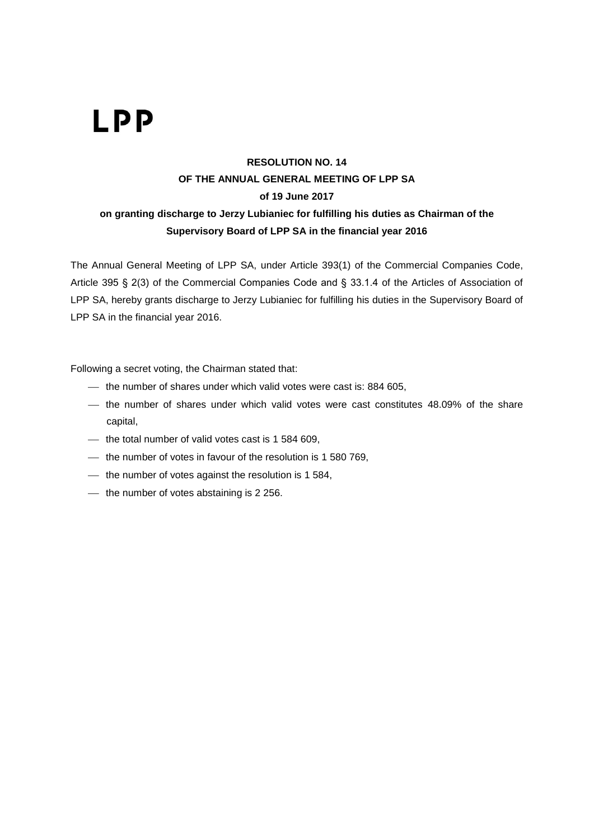### **RESOLUTION NO. 14 OF THE ANNUAL GENERAL MEETING OF LPP SA of 19 June 2017 on granting discharge to Jerzy Lubianiec for fulfilling his duties as Chairman of the Supervisory Board of LPP SA in the financial year 2016**

The Annual General Meeting of LPP SA, under Article 393(1) of the Commercial Companies Code, Article 395 § 2(3) of the Commercial Companies Code and § 33.1.4 of the Articles of Association of LPP SA, hereby grants discharge to Jerzy Lubianiec for fulfilling his duties in the Supervisory Board of LPP SA in the financial year 2016.

- $-$  the number of shares under which valid votes were cast is: 884 605,
- the number of shares under which valid votes were cast constitutes 48.09% of the share capital,
- $-$  the total number of valid votes cast is 1 584 609,
- $-$  the number of votes in favour of the resolution is 1 580 769,
- $-$  the number of votes against the resolution is 1 584,
- $-$  the number of votes abstaining is 2 256.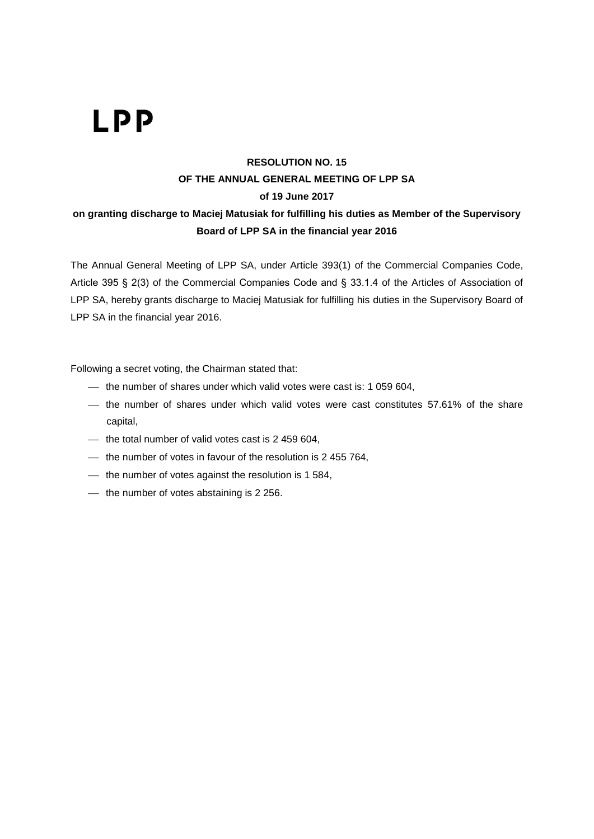### **RESOLUTION NO. 15 OF THE ANNUAL GENERAL MEETING OF LPP SA of 19 June 2017 on granting discharge to Maciej Matusiak for fulfilling his duties as Member of the Supervisory Board of LPP SA in the financial year 2016**

The Annual General Meeting of LPP SA, under Article 393(1) of the Commercial Companies Code, Article 395 § 2(3) of the Commercial Companies Code and § 33.1.4 of the Articles of Association of LPP SA, hereby grants discharge to Maciej Matusiak for fulfilling his duties in the Supervisory Board of LPP SA in the financial year 2016.

- the number of shares under which valid votes were cast is: 1 059 604,
- the number of shares under which valid votes were cast constitutes 57.61% of the share capital,
- $-$  the total number of valid votes cast is 2 459 604,
- $-$  the number of votes in favour of the resolution is 2 455 764,
- $-$  the number of votes against the resolution is 1 584,
- $-$  the number of votes abstaining is 2 256.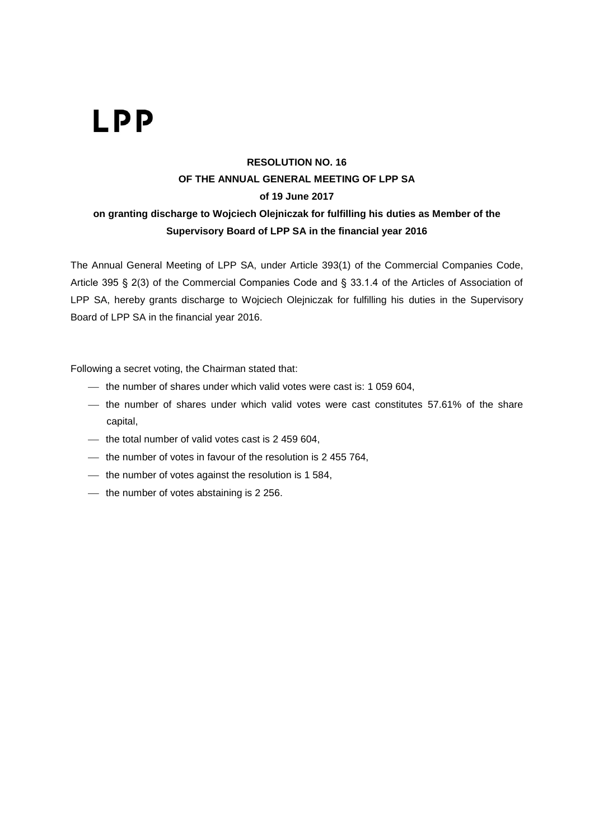### **RESOLUTION NO. 16 OF THE ANNUAL GENERAL MEETING OF LPP SA of 19 June 2017 on granting discharge to Wojciech Olejniczak for fulfilling his duties as Member of the Supervisory Board of LPP SA in the financial year 2016**

The Annual General Meeting of LPP SA, under Article 393(1) of the Commercial Companies Code, Article 395 § 2(3) of the Commercial Companies Code and § 33.1.4 of the Articles of Association of LPP SA, hereby grants discharge to Wojciech Olejniczak for fulfilling his duties in the Supervisory Board of LPP SA in the financial year 2016.

- the number of shares under which valid votes were cast is: 1 059 604,
- the number of shares under which valid votes were cast constitutes 57.61% of the share capital,
- $-$  the total number of valid votes cast is 2 459 604,
- $-$  the number of votes in favour of the resolution is 2 455 764,
- $-$  the number of votes against the resolution is 1 584,
- $-$  the number of votes abstaining is 2 256.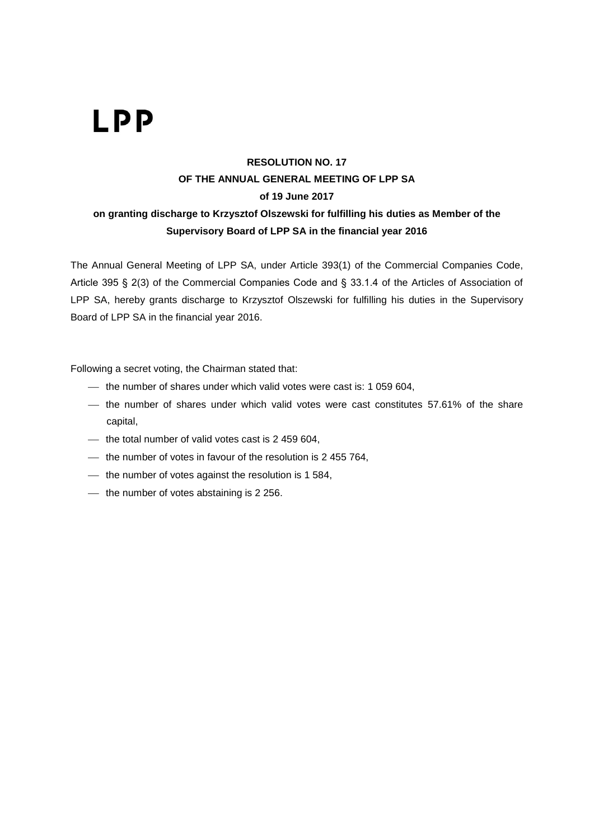### **RESOLUTION NO. 17 OF THE ANNUAL GENERAL MEETING OF LPP SA of 19 June 2017 on granting discharge to Krzysztof Olszewski for fulfilling his duties as Member of the Supervisory Board of LPP SA in the financial year 2016**

The Annual General Meeting of LPP SA, under Article 393(1) of the Commercial Companies Code, Article 395 § 2(3) of the Commercial Companies Code and § 33.1.4 of the Articles of Association of LPP SA, hereby grants discharge to Krzysztof Olszewski for fulfilling his duties in the Supervisory Board of LPP SA in the financial year 2016.

- the number of shares under which valid votes were cast is: 1 059 604,
- the number of shares under which valid votes were cast constitutes 57.61% of the share capital,
- $-$  the total number of valid votes cast is 2 459 604,
- $-$  the number of votes in favour of the resolution is 2 455 764,
- $-$  the number of votes against the resolution is 1 584,
- $-$  the number of votes abstaining is 2 256.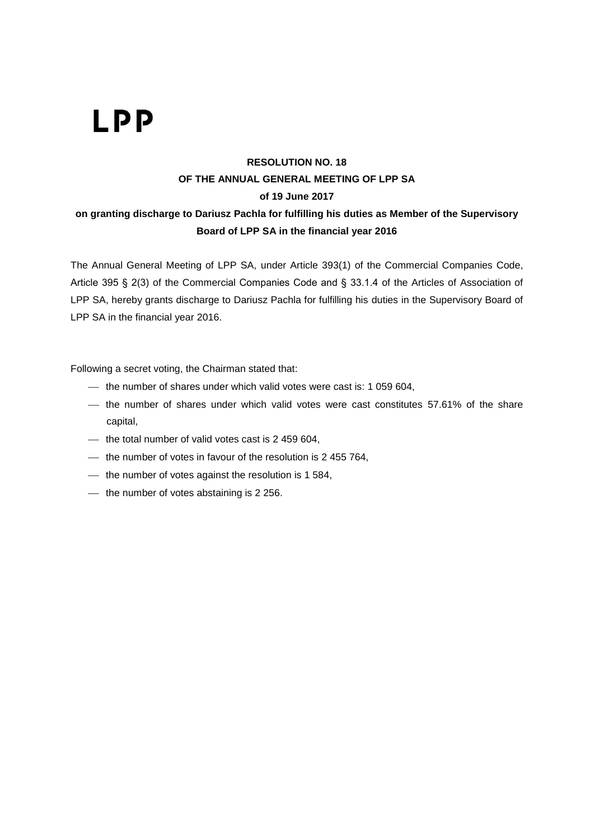### **RESOLUTION NO. 18 OF THE ANNUAL GENERAL MEETING OF LPP SA of 19 June 2017 on granting discharge to Dariusz Pachla for fulfilling his duties as Member of the Supervisory Board of LPP SA in the financial year 2016**

The Annual General Meeting of LPP SA, under Article 393(1) of the Commercial Companies Code, Article 395 § 2(3) of the Commercial Companies Code and § 33.1.4 of the Articles of Association of LPP SA, hereby grants discharge to Dariusz Pachla for fulfilling his duties in the Supervisory Board of LPP SA in the financial year 2016.

- the number of shares under which valid votes were cast is: 1 059 604,
- the number of shares under which valid votes were cast constitutes 57.61% of the share capital,
- $-$  the total number of valid votes cast is 2 459 604,
- $-$  the number of votes in favour of the resolution is 2 455 764,
- $-$  the number of votes against the resolution is 1 584,
- $-$  the number of votes abstaining is 2 256.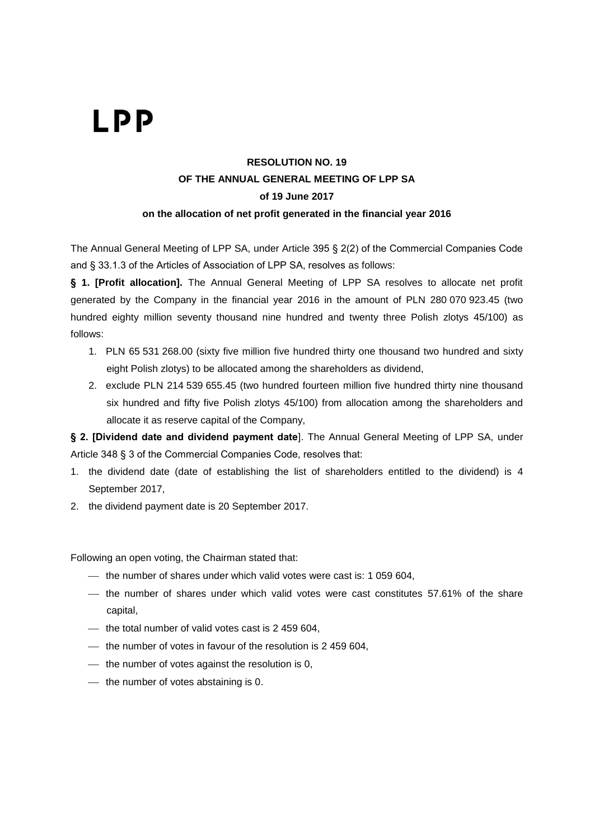### **RESOLUTION NO. 19 OF THE ANNUAL GENERAL MEETING OF LPP SA of 19 June 2017 on the allocation of net profit generated in the financial year 2016**

The Annual General Meeting of LPP SA, under Article 395 § 2(2) of the Commercial Companies Code and § 33.1.3 of the Articles of Association of LPP SA, resolves as follows:

**§ 1. [Profit allocation].** The Annual General Meeting of LPP SA resolves to allocate net profit generated by the Company in the financial year 2016 in the amount of PLN 280 070 923.45 (two hundred eighty million seventy thousand nine hundred and twenty three Polish zlotys 45/100) as follows:

- 1. PLN 65 531 268.00 (sixty five million five hundred thirty one thousand two hundred and sixty eight Polish zlotys) to be allocated among the shareholders as dividend,
- 2. exclude PLN 214 539 655.45 (two hundred fourteen million five hundred thirty nine thousand six hundred and fifty five Polish zlotys 45/100) from allocation among the shareholders and allocate it as reserve capital of the Company,

**§ 2. [Dividend date and dividend payment date**]. The Annual General Meeting of LPP SA, under Article 348 § 3 of the Commercial Companies Code, resolves that:

- 1. the dividend date (date of establishing the list of shareholders entitled to the dividend) is 4 September 2017,
- 2. the dividend payment date is 20 September 2017.

- $-$  the number of shares under which valid votes were cast is: 1 059 604,
- the number of shares under which valid votes were cast constitutes 57.61% of the share capital,
- $-$  the total number of valid votes cast is 2 459 604,
- $-$  the number of votes in favour of the resolution is 2 459 604,
- $-$  the number of votes against the resolution is 0,
- $-$  the number of votes abstaining is 0.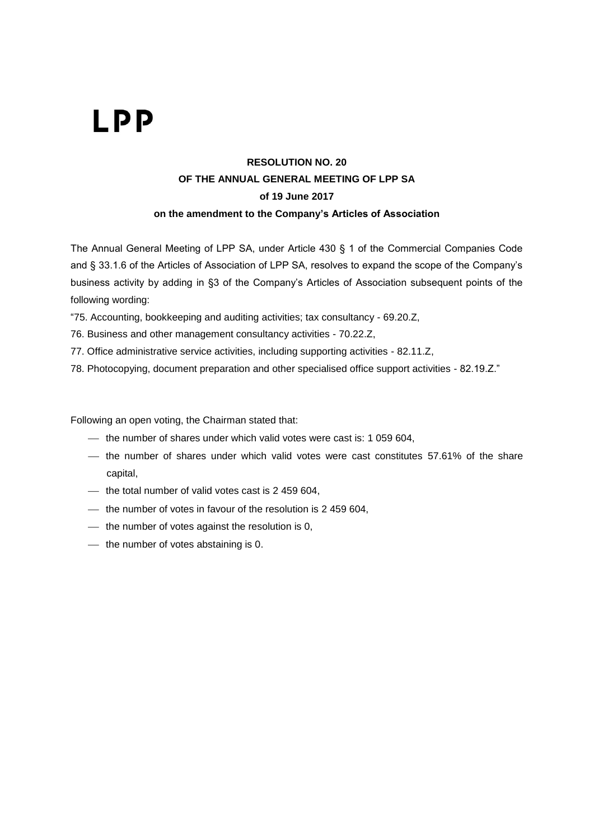#### **RESOLUTION NO. 20 OF THE ANNUAL GENERAL MEETING OF LPP SA of 19 June 2017 on the amendment to the Company's Articles of Association**

The Annual General Meeting of LPP SA, under Article 430 § 1 of the Commercial Companies Code and § 33.1.6 of the Articles of Association of LPP SA, resolves to expand the scope of the Company's business activity by adding in §3 of the Company's Articles of Association subsequent points of the following wording:

"75. Accounting, bookkeeping and auditing activities; tax consultancy - 69.20.Z,

76. Business and other management consultancy activities - 70.22.Z,

77. Office administrative service activities, including supporting activities - 82.11.Z,

78. Photocopying, document preparation and other specialised office support activities - 82.19.Z."

- $-$  the number of shares under which valid votes were cast is: 1 059 604,
- the number of shares under which valid votes were cast constitutes 57.61% of the share capital,
- $-$  the total number of valid votes cast is 2 459 604,
- $-$  the number of votes in favour of the resolution is 2 459 604,
- $-$  the number of votes against the resolution is 0,
- $-$  the number of votes abstaining is 0.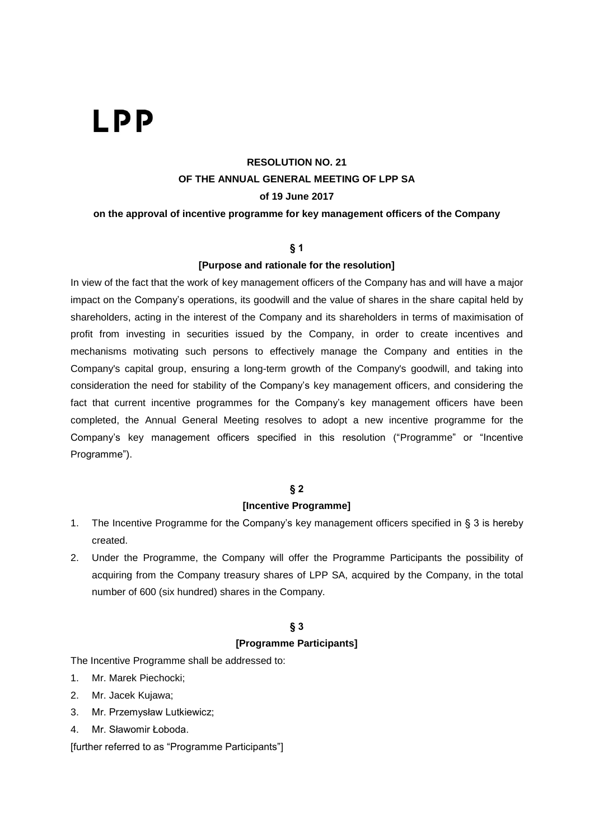#### **RESOLUTION NO. 21 OF THE ANNUAL GENERAL MEETING OF LPP SA of 19 June 2017**

**on the approval of incentive programme for key management officers of the Company**

#### **§ 1**

#### **[Purpose and rationale for the resolution]**

In view of the fact that the work of key management officers of the Company has and will have a major impact on the Company's operations, its goodwill and the value of shares in the share capital held by shareholders, acting in the interest of the Company and its shareholders in terms of maximisation of profit from investing in securities issued by the Company, in order to create incentives and mechanisms motivating such persons to effectively manage the Company and entities in the Company's capital group, ensuring a long-term growth of the Company's goodwill, and taking into consideration the need for stability of the Company's key management officers, and considering the fact that current incentive programmes for the Company's key management officers have been completed, the Annual General Meeting resolves to adopt a new incentive programme for the Company's key management officers specified in this resolution ("Programme" or "Incentive Programme").

#### **§ 2**

#### **[Incentive Programme]**

- 1. The Incentive Programme for the Company's key management officers specified in § 3 is hereby created.
- 2. Under the Programme, the Company will offer the Programme Participants the possibility of acquiring from the Company treasury shares of LPP SA, acquired by the Company, in the total number of 600 (six hundred) shares in the Company.

#### **§ 3**

#### **[Programme Participants]**

The Incentive Programme shall be addressed to:

- 1. Mr. Marek Piechocki;
- 2. Mr. Jacek Kujawa;
- 3. Mr. Przemysław Lutkiewicz;
- 4. Mr. Sławomir Łoboda.

[further referred to as "Programme Participants"]